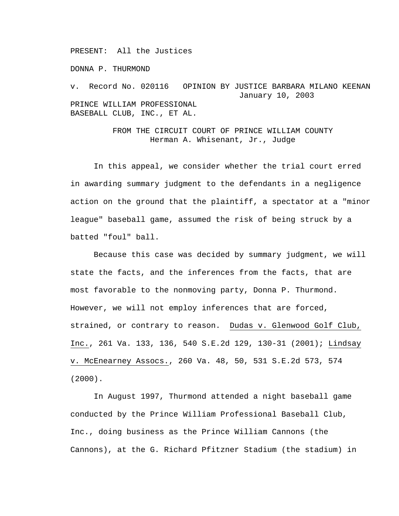PRESENT: All the Justices

DONNA P. THURMOND

v. Record No. 020116 OPINION BY JUSTICE BARBARA MILANO KEENAN January 10, 2003 PRINCE WILLIAM PROFESSIONAL BASEBALL CLUB, INC., ET AL.

> FROM THE CIRCUIT COURT OF PRINCE WILLIAM COUNTY Herman A. Whisenant, Jr., Judge

 In this appeal, we consider whether the trial court erred in awarding summary judgment to the defendants in a negligence action on the ground that the plaintiff, a spectator at a "minor league" baseball game, assumed the risk of being struck by a batted "foul" ball.

 Because this case was decided by summary judgment, we will state the facts, and the inferences from the facts, that are most favorable to the nonmoving party, Donna P. Thurmond. However, we will not employ inferences that are forced, strained, or contrary to reason. Dudas v. Glenwood Golf Club, Inc., 261 Va. 133, 136, 540 S.E.2d 129, 130-31 (2001); Lindsay v. McEnearney Assocs., 260 Va. 48, 50, 531 S.E.2d 573, 574 (2000).

 In August 1997, Thurmond attended a night baseball game conducted by the Prince William Professional Baseball Club, Inc., doing business as the Prince William Cannons (the Cannons), at the G. Richard Pfitzner Stadium (the stadium) in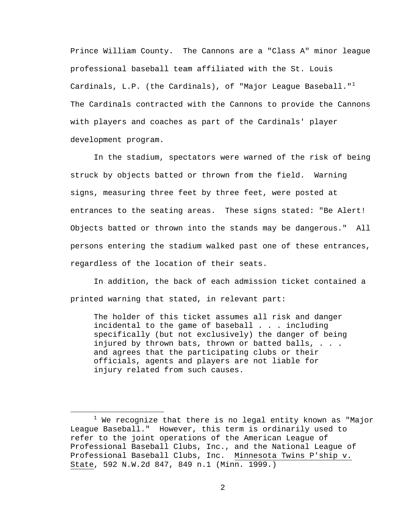Prince William County. The Cannons are a "Class A" minor league professional baseball team affiliated with the St. Louis Cardinals, L.P. (the Cardinals), of "Major League Baseball."<sup>[1](#page-1-0)</sup> The Cardinals contracted with the Cannons to provide the Cannons with players and coaches as part of the Cardinals' player development program.

 In the stadium, spectators were warned of the risk of being struck by objects batted or thrown from the field. Warning signs, measuring three feet by three feet, were posted at entrances to the seating areas. These signs stated: "Be Alert! Objects batted or thrown into the stands may be dangerous." All persons entering the stadium walked past one of these entrances, regardless of the location of their seats.

 In addition, the back of each admission ticket contained a printed warning that stated, in relevant part:

The holder of this ticket assumes all risk and danger incidental to the game of baseball . . . including specifically (but not exclusively) the danger of being injured by thrown bats, thrown or batted balls, . . . and agrees that the participating clubs or their officials, agents and players are not liable for injury related from such causes.

<span id="page-1-0"></span> $\begin{array}{c|c}\n\hline\n\text{1}\n\end{array}$  $1$  We recognize that there is no legal entity known as "Major League Baseball." However, this term is ordinarily used to refer to the joint operations of the American League of Professional Baseball Clubs, Inc., and the National League of Professional Baseball Clubs, Inc. Minnesota Twins P'ship v. State, 592 N.W.2d 847, 849 n.1 (Minn. 1999.)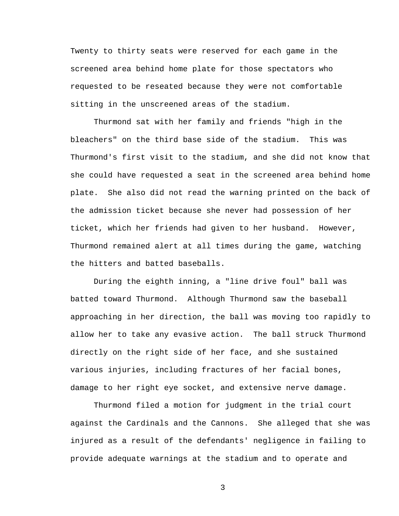Twenty to thirty seats were reserved for each game in the screened area behind home plate for those spectators who requested to be reseated because they were not comfortable sitting in the unscreened areas of the stadium.

 Thurmond sat with her family and friends "high in the bleachers" on the third base side of the stadium. This was Thurmond's first visit to the stadium, and she did not know that she could have requested a seat in the screened area behind home plate. She also did not read the warning printed on the back of the admission ticket because she never had possession of her ticket, which her friends had given to her husband. However, Thurmond remained alert at all times during the game, watching the hitters and batted baseballs.

 During the eighth inning, a "line drive foul" ball was batted toward Thurmond. Although Thurmond saw the baseball approaching in her direction, the ball was moving too rapidly to allow her to take any evasive action. The ball struck Thurmond directly on the right side of her face, and she sustained various injuries, including fractures of her facial bones, damage to her right eye socket, and extensive nerve damage.

 Thurmond filed a motion for judgment in the trial court against the Cardinals and the Cannons. She alleged that she was injured as a result of the defendants' negligence in failing to provide adequate warnings at the stadium and to operate and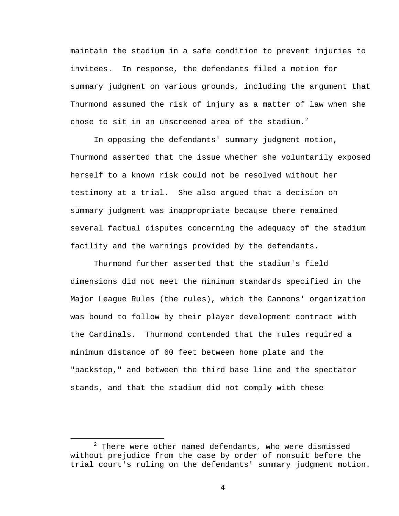maintain the stadium in a safe condition to prevent injuries to invitees. In response, the defendants filed a motion for summary judgment on various grounds, including the argument that Thurmond assumed the risk of injury as a matter of law when she chose to sit in an unscreened area of the stadium.<sup>[2](#page-3-0)</sup>

 In opposing the defendants' summary judgment motion, Thurmond asserted that the issue whether she voluntarily exposed herself to a known risk could not be resolved without her testimony at a trial. She also argued that a decision on summary judgment was inappropriate because there remained several factual disputes concerning the adequacy of the stadium facility and the warnings provided by the defendants.

 Thurmond further asserted that the stadium's field dimensions did not meet the minimum standards specified in the Major League Rules (the rules), which the Cannons' organization was bound to follow by their player development contract with the Cardinals. Thurmond contended that the rules required a minimum distance of 60 feet between home plate and the "backstop," and between the third base line and the spectator stands, and that the stadium did not comply with these

<span id="page-3-0"></span> <sup>2</sup>  $2$  There were other named defendants, who were dismissed without prejudice from the case by order of nonsuit before the trial court's ruling on the defendants' summary judgment motion.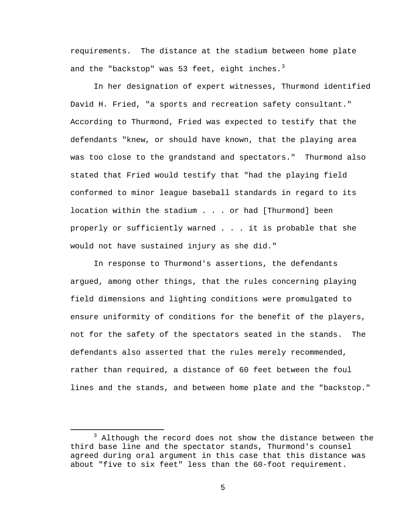requirements. The distance at the stadium between home plate and the "backstop" was 5[3](#page-4-0) feet, eight inches. $3$ 

 In her designation of expert witnesses, Thurmond identified David H. Fried, "a sports and recreation safety consultant." According to Thurmond, Fried was expected to testify that the defendants "knew, or should have known, that the playing area was too close to the grandstand and spectators." Thurmond also stated that Fried would testify that "had the playing field conformed to minor league baseball standards in regard to its location within the stadium . . . or had [Thurmond] been properly or sufficiently warned . . . it is probable that she would not have sustained injury as she did."

 In response to Thurmond's assertions, the defendants argued, among other things, that the rules concerning playing field dimensions and lighting conditions were promulgated to ensure uniformity of conditions for the benefit of the players, not for the safety of the spectators seated in the stands. The defendants also asserted that the rules merely recommended, rather than required, a distance of 60 feet between the foul lines and the stands, and between home plate and the "backstop."

<span id="page-4-0"></span> $\overline{\phantom{a}}$  3  $3$  Although the record does not show the distance between the third base line and the spectator stands, Thurmond's counsel agreed during oral argument in this case that this distance was about "five to six feet" less than the 60-foot requirement.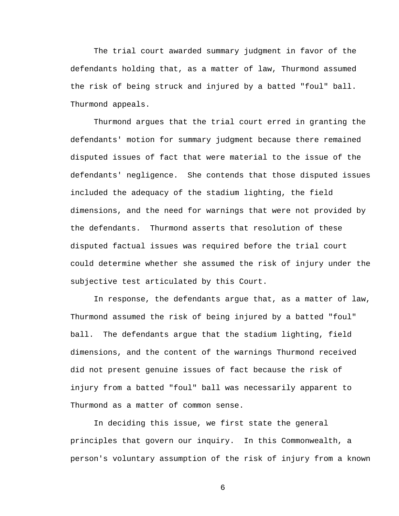The trial court awarded summary judgment in favor of the defendants holding that, as a matter of law, Thurmond assumed the risk of being struck and injured by a batted "foul" ball. Thurmond appeals.

 Thurmond argues that the trial court erred in granting the defendants' motion for summary judgment because there remained disputed issues of fact that were material to the issue of the defendants' negligence. She contends that those disputed issues included the adequacy of the stadium lighting, the field dimensions, and the need for warnings that were not provided by the defendants. Thurmond asserts that resolution of these disputed factual issues was required before the trial court could determine whether she assumed the risk of injury under the subjective test articulated by this Court.

 In response, the defendants argue that, as a matter of law, Thurmond assumed the risk of being injured by a batted "foul" ball. The defendants argue that the stadium lighting, field dimensions, and the content of the warnings Thurmond received did not present genuine issues of fact because the risk of injury from a batted "foul" ball was necessarily apparent to Thurmond as a matter of common sense.

 In deciding this issue, we first state the general principles that govern our inquiry. In this Commonwealth, a person's voluntary assumption of the risk of injury from a known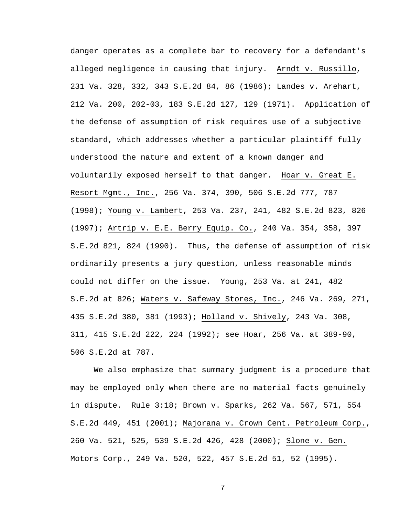danger operates as a complete bar to recovery for a defendant's alleged negligence in causing that injury. Arndt v. Russillo, 231 Va. 328, 332, 343 S.E.2d 84, 86 (1986); Landes v. Arehart, 212 Va. 200, 202-03, 183 S.E.2d 127, 129 (1971). Application of the defense of assumption of risk requires use of a subjective standard, which addresses whether a particular plaintiff fully understood the nature and extent of a known danger and voluntarily exposed herself to that danger. Hoar v. Great E. Resort Mgmt., Inc., 256 Va. 374, 390, 506 S.E.2d 777, 787 (1998); Young v. Lambert, 253 Va. 237, 241, 482 S.E.2d 823, 826 (1997); Artrip v. E.E. Berry Equip. Co., 240 Va. 354, 358, 397 S.E.2d 821, 824 (1990). Thus, the defense of assumption of risk ordinarily presents a jury question, unless reasonable minds could not differ on the issue. Young, 253 Va. at 241, 482 S.E.2d at 826; Waters v. Safeway Stores, Inc., 246 Va. 269, 271, 435 S.E.2d 380, 381 (1993); Holland v. Shively, 243 Va. 308, 311, 415 S.E.2d 222, 224 (1992); see Hoar, 256 Va. at 389-90, 506 S.E.2d at 787.

 We also emphasize that summary judgment is a procedure that may be employed only when there are no material facts genuinely in dispute. Rule 3:18; Brown v. Sparks, 262 Va. 567, 571, 554 S.E.2d 449, 451 (2001); Majorana v. Crown Cent. Petroleum Corp., 260 Va. 521, 525, 539 S.E.2d 426, 428 (2000); Slone v. Gen. Motors Corp., 249 Va. 520, 522, 457 S.E.2d 51, 52 (1995).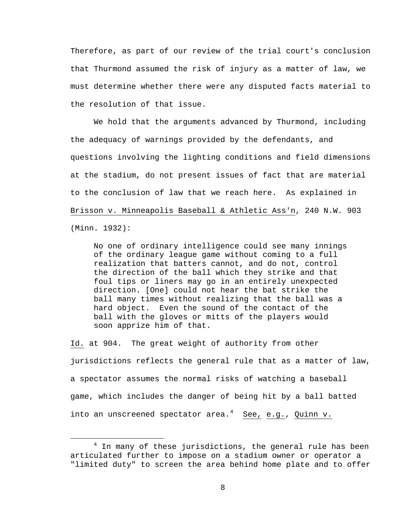Therefore, as part of our review of the trial court's conclusion that Thurmond assumed the risk of injury as a matter of law, we must determine whether there were any disputed facts material to the resolution of that issue.

 We hold that the arguments advanced by Thurmond, including the adequacy of warnings provided by the defendants, and questions involving the lighting conditions and field dimensions at the stadium, do not present issues of fact that are material to the conclusion of law that we reach here. As explained in Brisson v. Minneapolis Baseball & Athletic Ass'n, 240 N.W. 903 (Minn. 1932):

No one of ordinary intelligence could see many innings of the ordinary league game without coming to a full realization that batters cannot, and do not, control the direction of the ball which they strike and that foul tips or liners may go in an entirely unexpected direction. [One] could not hear the bat strike the ball many times without realizing that the ball was a hard object. Even the sound of the contact of the ball with the gloves or mitts of the players would soon apprize him of that.

Id. at 904. The great weight of authority from other jurisdictions reflects the general rule that as a matter of law, a spectator assumes the normal risks of watching a baseball game, which includes the danger of being hit by a ball batted into an unscreened spectator area. $4$  See, e.g., Quinn v.

<span id="page-7-0"></span> $\overline{4}$  $1$  In many of these jurisdictions, the general rule has been articulated further to impose on a stadium owner or operator a "limited duty" to screen the area behind home plate and to offer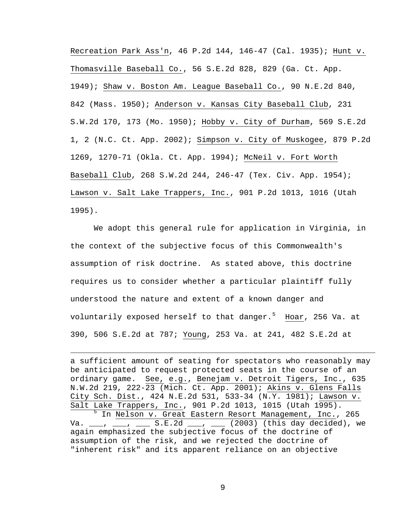Recreation Park Ass'n, 46 P.2d 144, 146-47 (Cal. 1935); Hunt v. Thomasville Baseball Co., 56 S.E.2d 828, 829 (Ga. Ct. App. 1949); Shaw v. Boston Am. League Baseball Co., 90 N.E.2d 840, 842 (Mass. 1950); Anderson v. Kansas City Baseball Club, 231 S.W.2d 170, 173 (Mo. 1950); Hobby v. City of Durham, 569 S.E.2d 1, 2 (N.C. Ct. App. 2002); Simpson v. City of Muskogee, 879 P.2d 1269, 1270-71 (Okla. Ct. App. 1994); McNeil v. Fort Worth Baseball Club, 268 S.W.2d 244, 246-47 (Tex. Civ. App. 1954); Lawson v. Salt Lake Trappers, Inc., 901 P.2d 1013, 1016 (Utah 1995).

 We adopt this general rule for application in Virginia, in the context of the subjective focus of this Commonwealth's assumption of risk doctrine. As stated above, this doctrine requires us to consider whether a particular plaintiff fully understood the nature and extent of a known danger and voluntarily exposed herself to that danger.<sup>[5](#page-8-0)</sup> Hoar, 256 Va. at 390, 506 S.E.2d at 787; Young, 253 Va. at 241, 482 S.E.2d at

<span id="page-8-0"></span>a sufficient amount of seating for spectators who reasonably may be anticipated to request protected seats in the course of an ordinary game. See, e.g., Benejam v. Detroit Tigers, Inc., 635 N.W.2d 219, 222-23 (Mich. Ct. App. 2001); Akins v. Glens Falls City Sch. Dist., 424 N.E.2d 531, 533-34 (N.Y. 1981); Lawson v. Salt Lake Trappers, Inc., 901 P.2d 1013, 1015 (Utah 1995). 5 In Nelson v. Great Eastern Resort Management, Inc., 265 Va.  $\frac{1}{2}$ ,  $\frac{1}{2}$ ,  $\frac{1}{2}$  S.E.2d  $\frac{1}{2}$ ,  $\frac{1}{2}$  (2003) (this day decided), we again emphasized the subjective focus of the doctrine of assumption of the risk, and we rejected the doctrine of "inherent risk" and its apparent reliance on an objective

i<br>Li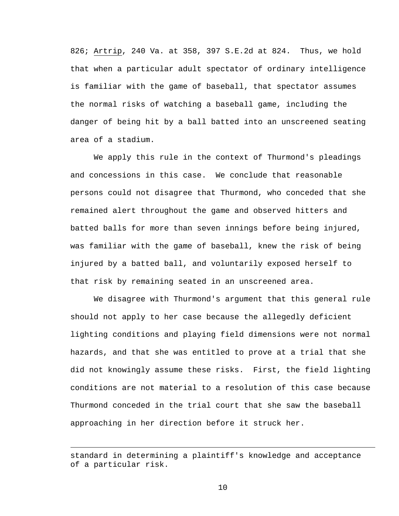826; Artrip, 240 Va. at 358, 397 S.E.2d at 824. Thus, we hold that when a particular adult spectator of ordinary intelligence is familiar with the game of baseball, that spectator assumes the normal risks of watching a baseball game, including the danger of being hit by a ball batted into an unscreened seating area of a stadium.

 We apply this rule in the context of Thurmond's pleadings and concessions in this case. We conclude that reasonable persons could not disagree that Thurmond, who conceded that she remained alert throughout the game and observed hitters and batted balls for more than seven innings before being injured, was familiar with the game of baseball, knew the risk of being injured by a batted ball, and voluntarily exposed herself to that risk by remaining seated in an unscreened area.

 We disagree with Thurmond's argument that this general rule should not apply to her case because the allegedly deficient lighting conditions and playing field dimensions were not normal hazards, and that she was entitled to prove at a trial that she did not knowingly assume these risks. First, the field lighting conditions are not material to a resolution of this case because Thurmond conceded in the trial court that she saw the baseball approaching in her direction before it struck her.

i<br>Li

standard in determining a plaintiff's knowledge and acceptance of a particular risk.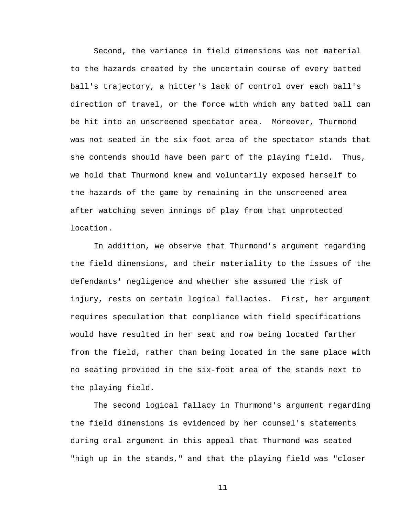Second, the variance in field dimensions was not material to the hazards created by the uncertain course of every batted ball's trajectory, a hitter's lack of control over each ball's direction of travel, or the force with which any batted ball can be hit into an unscreened spectator area. Moreover, Thurmond was not seated in the six-foot area of the spectator stands that she contends should have been part of the playing field. Thus, we hold that Thurmond knew and voluntarily exposed herself to the hazards of the game by remaining in the unscreened area after watching seven innings of play from that unprotected location.

 In addition, we observe that Thurmond's argument regarding the field dimensions, and their materiality to the issues of the defendants' negligence and whether she assumed the risk of injury, rests on certain logical fallacies. First, her argument requires speculation that compliance with field specifications would have resulted in her seat and row being located farther from the field, rather than being located in the same place with no seating provided in the six-foot area of the stands next to the playing field.

 The second logical fallacy in Thurmond's argument regarding the field dimensions is evidenced by her counsel's statements during oral argument in this appeal that Thurmond was seated "high up in the stands," and that the playing field was "closer